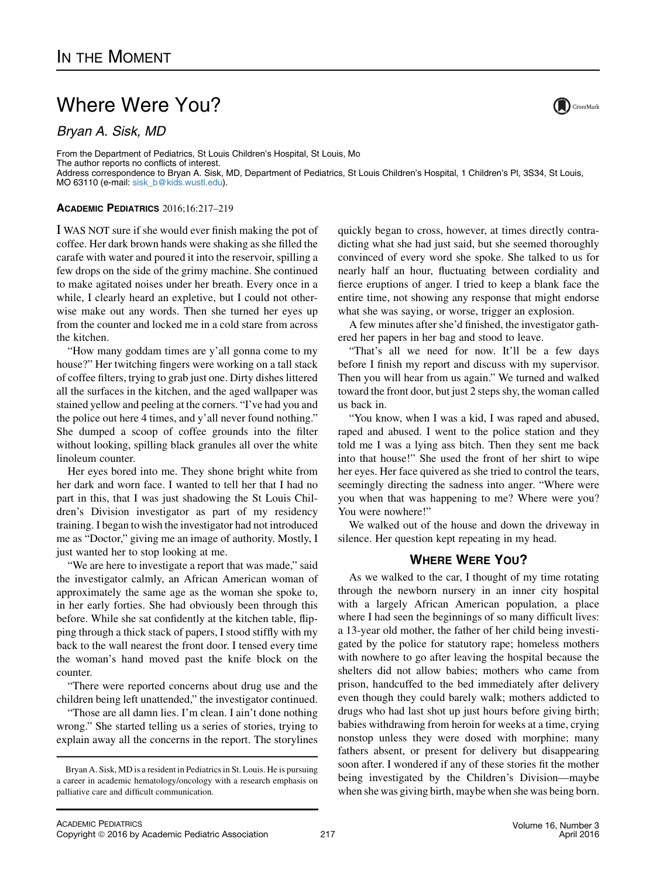## Where Were You?

Bryan A. Sisk, MD

From the Department of Pediatrics, St Louis Children's Hospital, St Louis, Mo The author reports no conflicts of interest. Address correspondence to Bryan A. Sisk, MD, Department of Pediatrics, St Louis Children's Hospital, 1 Children's Pl, 3S34, St Louis, MO 63110 (e-mail: [sisk\\_b@kids.wustl.edu](mailto:sisk_b@kids.wustl.edu)).

## ACADEMIC PEDIATRICS 2016;16:217–219

I WAS NOT sure if she would ever finish making the pot of coffee. Her dark brown hands were shaking as she filled the carafe with water and poured it into the reservoir, spilling a few drops on the side of the grimy machine. She continued to make agitated noises under her breath. Every once in a while, I clearly heard an expletive, but I could not otherwise make out any words. Then she turned her eyes up from the counter and locked me in a cold stare from across the kitchen.

"How many goddam times are y'all gonna come to my house?" Her twitching fingers were working on a tall stack of coffee filters, trying to grab just one. Dirty dishes littered all the surfaces in the kitchen, and the aged wallpaper was stained yellow and peeling at the corners. "I've had you and the police out here 4 times, and y'all never found nothing." She dumped a scoop of coffee grounds into the filter without looking, spilling black granules all over the white linoleum counter.

Her eyes bored into me. They shone bright white from her dark and worn face. I wanted to tell her that I had no part in this, that I was just shadowing the St Louis Children's Division investigator as part of my residency training. I began to wish the investigator had not introduced me as "Doctor," giving me an image of authority. Mostly, I just wanted her to stop looking at me.

"We are here to investigate a report that was made," said the investigator calmly, an African American woman of approximately the same age as the woman she spoke to, in her early forties. She had obviously been through this before. While she sat confidently at the kitchen table, flipping through a thick stack of papers, I stood stiffly with my back to the wall nearest the front door. I tensed every time the woman's hand moved past the knife block on the counter.

"There were reported concerns about drug use and the children being left unattended," the investigator continued.

"Those are all damn lies. I'm clean. I ain't done nothing wrong." She started telling us a series of stories, trying to explain away all the concerns in the report. The storylines

quickly began to cross, however, at times directly contradicting what she had just said, but she seemed thoroughly convinced of every word she spoke. She talked to us for nearly half an hour, fluctuating between cordiality and fierce eruptions of anger. I tried to keep a blank face the entire time, not showing any response that might endorse what she was saying, or worse, trigger an explosion.

A few minutes after she'd finished, the investigator gathered her papers in her bag and stood to leave.

"That's all we need for now. It'll be a few days before I finish my report and discuss with my supervisor. Then you will hear from us again." We turned and walked toward the front door, but just 2 steps shy, the woman called us back in.

"You know, when I was a kid, I was raped and abused, raped and abused. I went to the police station and they told me I was a lying ass bitch. Then they sent me back into that house!" She used the front of her shirt to wipe her eyes. Her face quivered as she tried to control the tears, seemingly directing the sadness into anger. "Where were you when that was happening to me? Where were you? You were nowhere!"

We walked out of the house and down the driveway in silence. Her question kept repeating in my head.

## WHERE WERE YOU?

As we walked to the car, I thought of my time rotating through the newborn nursery in an inner city hospital with a largely African American population, a place where I had seen the beginnings of so many difficult lives: a 13-year old mother, the father of her child being investigated by the police for statutory rape; homeless mothers with nowhere to go after leaving the hospital because the shelters did not allow babies; mothers who came from prison, handcuffed to the bed immediately after delivery even though they could barely walk; mothers addicted to drugs who had last shot up just hours before giving birth; babies withdrawing from heroin for weeks at a time, crying nonstop unless they were dosed with morphine; many fathers absent, or present for delivery but disappearing soon after. I wondered if any of these stories fit the mother being investigated by the Children's Division—maybe when she was giving birth, maybe when she was being born.



Bryan A. Sisk, MD is a resident in Pediatrics in St. Louis. He is pursuing a career in academic hematology/oncology with a research emphasis on palliative care and difficult communication.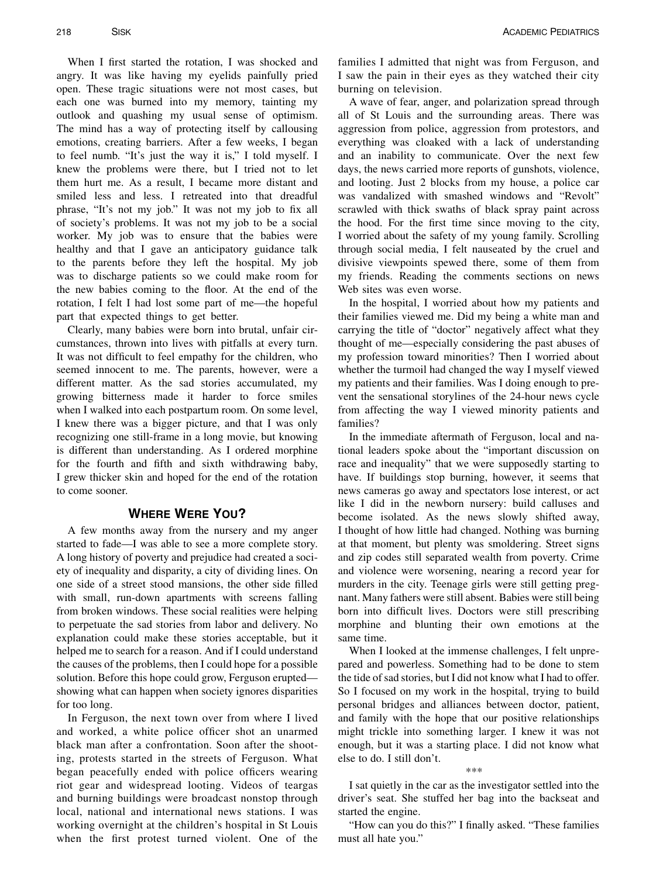When I first started the rotation, I was shocked and angry. It was like having my eyelids painfully pried open. These tragic situations were not most cases, but each one was burned into my memory, tainting my outlook and quashing my usual sense of optimism. The mind has a way of protecting itself by callousing emotions, creating barriers. After a few weeks, I began to feel numb. "It's just the way it is," I told myself. I knew the problems were there, but I tried not to let them hurt me. As a result, I became more distant and smiled less and less. I retreated into that dreadful phrase, "It's not my job." It was not my job to fix all of society's problems. It was not my job to be a social worker. My job was to ensure that the babies were healthy and that I gave an anticipatory guidance talk to the parents before they left the hospital. My job was to discharge patients so we could make room for the new babies coming to the floor. At the end of the rotation, I felt I had lost some part of me—the hopeful part that expected things to get better.

Clearly, many babies were born into brutal, unfair circumstances, thrown into lives with pitfalls at every turn. It was not difficult to feel empathy for the children, who seemed innocent to me. The parents, however, were a different matter. As the sad stories accumulated, my growing bitterness made it harder to force smiles when I walked into each postpartum room. On some level, I knew there was a bigger picture, and that I was only recognizing one still-frame in a long movie, but knowing is different than understanding. As I ordered morphine for the fourth and fifth and sixth withdrawing baby, I grew thicker skin and hoped for the end of the rotation to come sooner.

## WHERE WERE YOU?

A few months away from the nursery and my anger started to fade—I was able to see a more complete story. A long history of poverty and prejudice had created a society of inequality and disparity, a city of dividing lines. On one side of a street stood mansions, the other side filled with small, run-down apartments with screens falling from broken windows. These social realities were helping to perpetuate the sad stories from labor and delivery. No explanation could make these stories acceptable, but it helped me to search for a reason. And if I could understand the causes of the problems, then I could hope for a possible solution. Before this hope could grow, Ferguson erupted showing what can happen when society ignores disparities for too long.

In Ferguson, the next town over from where I lived and worked, a white police officer shot an unarmed black man after a confrontation. Soon after the shooting, protests started in the streets of Ferguson. What began peacefully ended with police officers wearing riot gear and widespread looting. Videos of teargas and burning buildings were broadcast nonstop through local, national and international news stations. I was working overnight at the children's hospital in St Louis when the first protest turned violent. One of the

families I admitted that night was from Ferguson, and I saw the pain in their eyes as they watched their city burning on television.

A wave of fear, anger, and polarization spread through all of St Louis and the surrounding areas. There was aggression from police, aggression from protestors, and everything was cloaked with a lack of understanding and an inability to communicate. Over the next few days, the news carried more reports of gunshots, violence, and looting. Just 2 blocks from my house, a police car was vandalized with smashed windows and "Revolt" scrawled with thick swaths of black spray paint across the hood. For the first time since moving to the city, I worried about the safety of my young family. Scrolling through social media, I felt nauseated by the cruel and divisive viewpoints spewed there, some of them from my friends. Reading the comments sections on news Web sites was even worse.

In the hospital, I worried about how my patients and their families viewed me. Did my being a white man and carrying the title of "doctor" negatively affect what they thought of me—especially considering the past abuses of my profession toward minorities? Then I worried about whether the turmoil had changed the way I myself viewed my patients and their families. Was I doing enough to prevent the sensational storylines of the 24-hour news cycle from affecting the way I viewed minority patients and families?

In the immediate aftermath of Ferguson, local and national leaders spoke about the "important discussion on race and inequality" that we were supposedly starting to have. If buildings stop burning, however, it seems that news cameras go away and spectators lose interest, or act like I did in the newborn nursery: build calluses and become isolated. As the news slowly shifted away, I thought of how little had changed. Nothing was burning at that moment, but plenty was smoldering. Street signs and zip codes still separated wealth from poverty. Crime and violence were worsening, nearing a record year for murders in the city. Teenage girls were still getting pregnant. Many fathers were still absent. Babies were still being born into difficult lives. Doctors were still prescribing morphine and blunting their own emotions at the same time.

When I looked at the immense challenges, I felt unprepared and powerless. Something had to be done to stem the tide of sad stories, but I did not know what I had to offer. So I focused on my work in the hospital, trying to build personal bridges and alliances between doctor, patient, and family with the hope that our positive relationships might trickle into something larger. I knew it was not enough, but it was a starting place. I did not know what else to do. I still don't.

\*\*\*

I sat quietly in the car as the investigator settled into the driver's seat. She stuffed her bag into the backseat and started the engine.

"How can you do this?" I finally asked. "These families must all hate you."